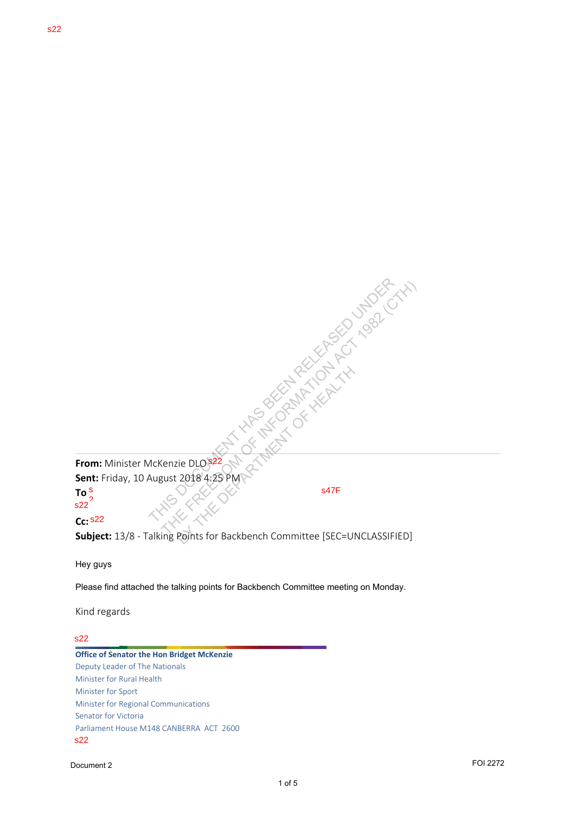s22

**From:** Minister McKenzie DLO s22 **Sent:** Friday, 10 August 2018 4:25 PM

**To** s  $s22$ <sup>2</sup> s47F

## **Cc:** s22

**Subject:** 13/8 - Talking Points for Backbench Committee [SEC=UNCLASSIFIED] NATURE DIOSER AND THE FREEDOM OF THE FREEDOM OF THE FREEDOM OF THE FREEDOM OF THE FREEDOM OF THE FREEDOM OF THE FREEDOM OF THE FREEDOM OF THE FREEDOM OF THE FREEDOM OF THE FREEDOM OF THE FREEDOM OF THE FREEDOM OF THE FREED BY THE DLOSE 22 NAME OF HEALTH OF HEALTH COMPANY

Hey guys

Please find attached the talking points for Backbench Committee meeting on Monday.

Kind regards

## s22

**Office of Senator the Hon Bridget McKenzie** Deputy Leader of The Nationals Minister for Rural Health Minister for Sport Minister for Regional Communications Senator for Victoria Parliament House M148 CANBERRA ACT 2600 s22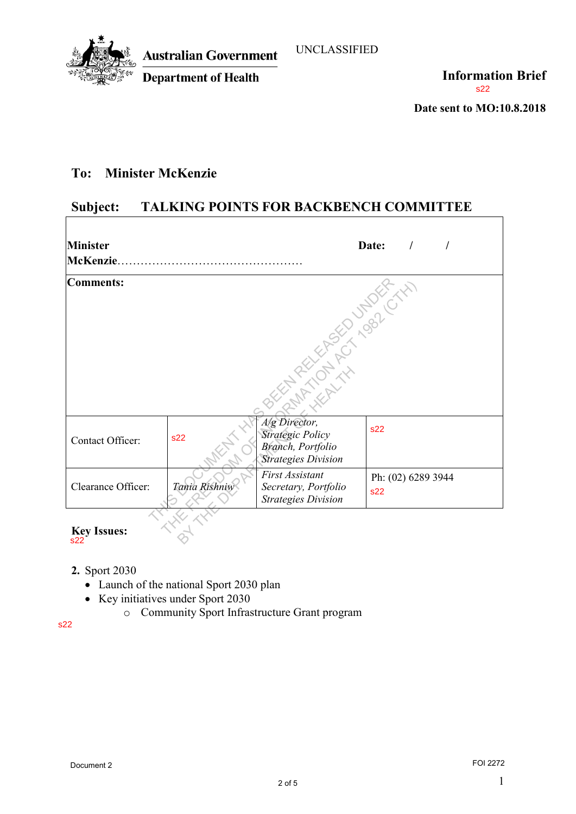

 $\overline{\phantom{a}}$ 

**Information Brief** s22

**Date sent to MO:10.8.2018** 

## **To: Minister McKenzie**

## **Subject: TALKING POINTS FOR BACKBENCH COMMITTEE**

| <b>Minister</b>                                                          |                                                                            |                                                                                             | Date:<br>$\sqrt{ }$       |                 |
|--------------------------------------------------------------------------|----------------------------------------------------------------------------|---------------------------------------------------------------------------------------------|---------------------------|-----------------|
| <b>Comments:</b>                                                         |                                                                            | Sixthat Avenue Reservance                                                                   |                           |                 |
| Contact Officer:                                                         | s22                                                                        | A/g Director,<br><b>Strategic Policy</b><br>Branch, Portfolio<br><b>Strategies Division</b> | s22                       |                 |
| Clearance Officer:                                                       | Tania Rishniw                                                              | <b>First Assistant</b><br>Secretary, Portfolio<br><b>Strategies Division</b>                | Ph: (02) 6289 3944<br>s22 |                 |
| <b>Key Issues:</b><br>s22<br>2. Sport 2030<br>$\bullet$<br>$\circ$<br>22 | Launch of the national Sport 2030 plan<br>Key initiatives under Sport 2030 | Community Sport Infrastructure Grant program                                                |                           |                 |
| Document 2                                                               |                                                                            |                                                                                             |                           | <b>FOI 2272</b> |

- **2.** Sport 2030
	- Launch of the national Sport 2030 plan
	- Key initiatives under Sport 2030
		- o Community Sport Infrastructure Grant program

s22